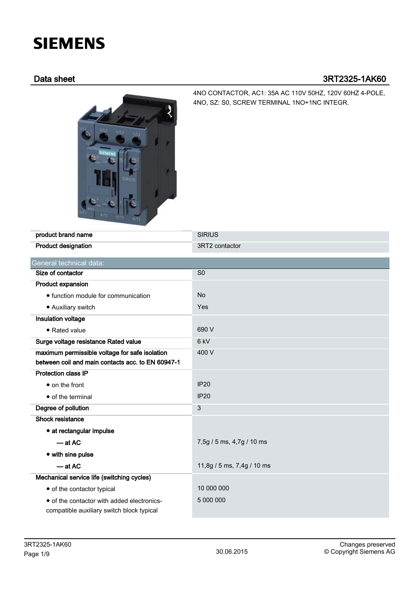# **SIEMENS**

## Data sheet 3RT2325-1AK60



4NO CONTACTOR, AC1: 35A AC 110V 50HZ, 120V 60HZ 4-POLE, 4NO, SZ: S0, SCREW TERMINAL 1NO+1NC INTEGR.

| product brand name                                                                      | <b>SIRIUS</b>              |
|-----------------------------------------------------------------------------------------|----------------------------|
| <b>Product designation</b>                                                              | 3RT2 contactor             |
| General technical data:                                                                 |                            |
| Size of contactor                                                                       | S <sub>0</sub>             |
| Product expansion                                                                       |                            |
| • function module for communication                                                     | <b>No</b>                  |
| • Auxiliary switch                                                                      | Yes                        |
| Insulation voltage                                                                      |                            |
| • Rated value                                                                           | 690 V                      |
| Surge voltage resistance Rated value                                                    | 6 kV                       |
| maximum permissible voltage for safe isolation                                          | 400 V                      |
| between coil and main contacts acc. to EN 60947-1                                       |                            |
| <b>Protection class IP</b>                                                              |                            |
| • on the front                                                                          | <b>IP20</b>                |
| • of the terminal                                                                       | <b>IP20</b>                |
| Degree of pollution                                                                     | 3                          |
| Shock resistance                                                                        |                            |
| • at rectangular impulse                                                                |                            |
| $-$ at AC                                                                               | 7,5g / 5 ms, 4,7g / 10 ms  |
| • with sine pulse                                                                       |                            |
| $-$ at AC                                                                               | 11,8g / 5 ms, 7,4g / 10 ms |
| Mechanical service life (switching cycles)                                              |                            |
| • of the contactor typical                                                              | 10 000 000                 |
| • of the contactor with added electronics-<br>compatible auxiliary switch block typical | 5 000 000                  |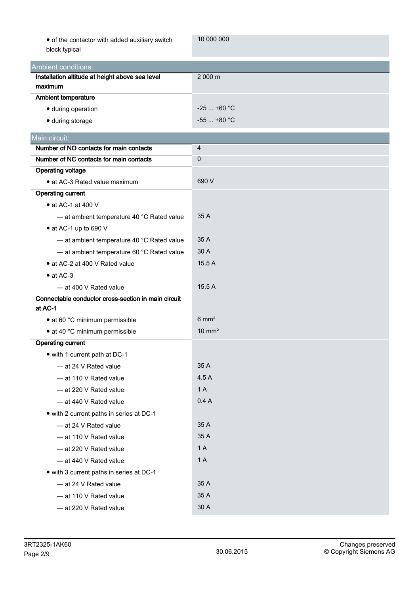| • of the contactor with added auxiliary switch |  |
|------------------------------------------------|--|
| block typical                                  |  |

10 000 000

| <b>DIOCK TYPICAL</b>                                           |                   |
|----------------------------------------------------------------|-------------------|
| <b>Ambient conditions:</b>                                     |                   |
| Installation altitude at height above sea level                | 2 000 m           |
| maximum                                                        |                   |
| <b>Ambient temperature</b>                                     |                   |
| · during operation                                             | $-25$ +60 °C      |
| · during storage                                               | $-55$ +80 °C      |
| Main circuit:                                                  |                   |
| Number of NO contacts for main contacts                        | $\overline{4}$    |
| Number of NC contacts for main contacts                        | $\mathbf 0$       |
| <b>Operating voltage</b>                                       |                   |
| • at AC-3 Rated value maximum                                  | 690 V             |
| <b>Operating current</b>                                       |                   |
| $\bullet$ at AC-1 at 400 V                                     |                   |
| - at ambient temperature 40 °C Rated value                     | 35 A              |
| • at AC-1 up to 690 V                                          |                   |
| - at ambient temperature 40 °C Rated value                     | 35 A              |
| - at ambient temperature 60 °C Rated value                     | 30 A              |
| • at AC-2 at 400 V Rated value                                 | 15.5 A            |
| $\bullet$ at AC-3                                              |                   |
| - at 400 V Rated value                                         | 15.5A             |
| Connectable conductor cross-section in main circuit<br>at AC-1 |                   |
| • at 60 °C minimum permissible                                 | $6 \text{ mm}^2$  |
| • at 40 °C minimum permissible                                 | $10 \text{ mm}^2$ |
| <b>Operating current</b>                                       |                   |
| • with 1 current path at DC-1                                  |                   |
| - at 24 V Rated value                                          | 35 A              |
| - at 110 V Rated value                                         | 4.5A              |
| - at 220 V Rated value                                         | 1 A               |
| - at 440 V Rated value                                         | 0.4A              |
| • with 2 current paths in series at DC-1                       |                   |
| - at 24 V Rated value                                          | 35 A              |
| - at 110 V Rated value                                         | 35 A              |
| - at 220 V Rated value                                         | 1 A               |
| - at 440 V Rated value                                         | 1A                |
| • with 3 current paths in series at DC-1                       |                   |
| - at 24 V Rated value                                          | 35 A              |
| - at 110 V Rated value                                         | 35 A              |
| - at 220 V Rated value                                         | 30 A              |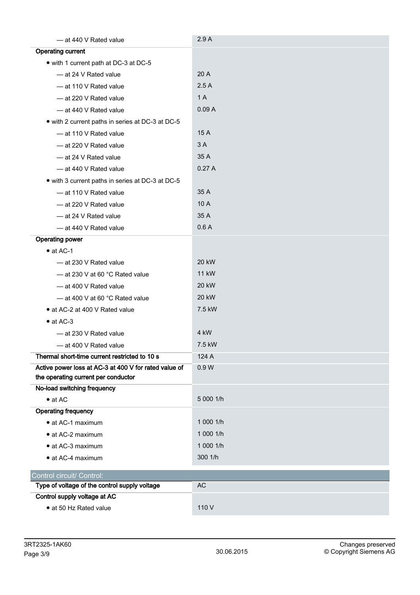| - at 440 V Rated value                                                     | 2.9A      |
|----------------------------------------------------------------------------|-----------|
| <b>Operating current</b>                                                   |           |
| • with 1 current path at DC-3 at DC-5                                      |           |
| - at 24 V Rated value                                                      | 20 A      |
| $-$ at 110 V Rated value                                                   | 2.5A      |
| - at 220 V Rated value                                                     | 1 A       |
| - at 440 V Rated value                                                     | 0.09A     |
| • with 2 current paths in series at DC-3 at DC-5                           |           |
| - at 110 V Rated value                                                     | 15A       |
| $-$ at 220 V Rated value                                                   | 3A        |
| - at 24 V Rated value                                                      | 35 A      |
| - at 440 V Rated value                                                     | 0.27A     |
| • with 3 current paths in series at DC-3 at DC-5                           |           |
| - at 110 V Rated value                                                     | 35 A      |
| - at 220 V Rated value                                                     | 10 A      |
| - at 24 V Rated value                                                      | 35 A      |
| - at 440 V Rated value                                                     | 0.6A      |
| <b>Operating power</b>                                                     |           |
| $\bullet$ at AC-1                                                          |           |
| - at 230 V Rated value                                                     | 20 kW     |
| - at 230 V at 60 °C Rated value                                            | 11 kW     |
| - at 400 V Rated value                                                     | 20 kW     |
| $-$ at 400 V at 60 °C Rated value                                          | 20 kW     |
| • at AC-2 at 400 V Rated value                                             | 7.5 kW    |
| $\bullet$ at AC-3                                                          |           |
| $-$ at 230 V Rated value                                                   | 4 kW      |
| - at 400 V Rated value                                                     | 7.5 kW    |
| Thermal short-time current restricted to 10 s                              | 124 A     |
| Active power loss at AC-3 at 400 V for rated value of                      | 0.9W      |
| the operating current per conductor<br>No-load switching frequency         |           |
| $\bullet$ at AC                                                            | 5 000 1/h |
| <b>Operating frequency</b>                                                 |           |
| • at AC-1 maximum                                                          | 1 000 1/h |
| • at AC-2 maximum                                                          | 1 000 1/h |
| • at AC-3 maximum                                                          | 1 000 1/h |
| • at AC-4 maximum                                                          | 300 1/h   |
|                                                                            |           |
| Control circuit/ Control:<br>Type of voltage of the control supply voltage | AC        |
| Control supply voltage at AC                                               |           |
| · at 50 Hz Rated value                                                     | 110 V     |
|                                                                            |           |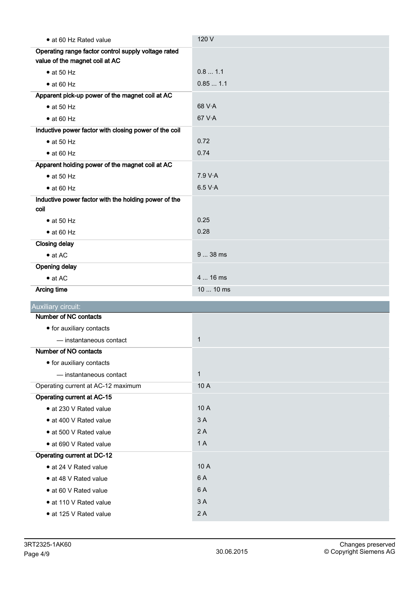| • at 60 Hz Rated value                                | 120 V        |
|-------------------------------------------------------|--------------|
| Operating range factor control supply voltage rated   |              |
| value of the magnet coil at AC                        |              |
| $\bullet$ at 50 Hz                                    | 0.8 1.1      |
| $\bullet$ at 60 Hz                                    | 0.851.1      |
| Apparent pick-up power of the magnet coil at AC       |              |
| $\bullet$ at 50 Hz                                    | 68 V·A       |
| $\bullet$ at 60 Hz                                    | 67 V·A       |
| Inductive power factor with closing power of the coil |              |
| $\bullet$ at 50 Hz                                    | 0.72         |
| $\bullet$ at 60 Hz                                    | 0.74         |
| Apparent holding power of the magnet coil at AC       |              |
| $\bullet$ at 50 Hz                                    | 7.9 V A      |
| $\bullet$ at 60 Hz                                    | 6.5 V·A      |
| Inductive power factor with the holding power of the  |              |
| coil                                                  |              |
| $\bullet$ at 50 Hz                                    | 0.25         |
| $\bullet$ at 60 Hz                                    | 0.28         |
| <b>Closing delay</b>                                  |              |
| $\bullet$ at AC                                       | 9  38 ms     |
| <b>Opening delay</b>                                  | 4  16 ms     |
|                                                       |              |
| $\bullet$ at AC                                       |              |
| Arcing time                                           | 10  10 ms    |
| Auxiliary circuit:                                    |              |
| Number of NC contacts                                 |              |
| • for auxiliary contacts                              |              |
| - instantaneous contact                               | $\mathbf 1$  |
| Number of NO contacts                                 |              |
| • for auxiliary contacts                              |              |
| - instantaneous contact                               | $\mathbf{1}$ |
| Operating current at AC-12 maximum                    | 10 A         |
| <b>Operating current at AC-15</b>                     |              |
| · at 230 V Rated value                                | 10 A         |
| • at 400 V Rated value                                | 3A           |
| • at 500 V Rated value                                | 2A           |
| • at 690 V Rated value                                | 1A           |
| <b>Operating current at DC-12</b>                     |              |
| · at 24 V Rated value                                 | 10 A         |
| • at 48 V Rated value                                 | 6A           |
| • at 60 V Rated value                                 | 6 A          |
| • at 110 V Rated value                                | 3A           |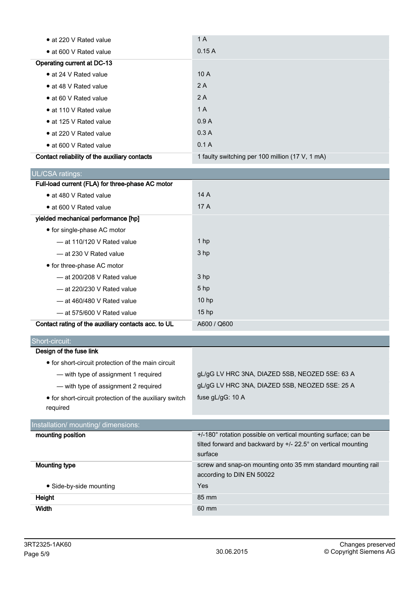| Contact reliability of the auxiliary contacts | 1 faulty switching per 100 million (17 V, 1 mA) |
|-----------------------------------------------|-------------------------------------------------|
| • at 600 V Rated value                        | 0.1A                                            |
| • at 220 V Rated value                        | 0.3A                                            |
| • at 125 V Rated value                        | 0.9A                                            |
| • at 110 V Rated value                        | 1 A                                             |
| • at 60 V Rated value                         | 2 A                                             |
| • at 48 V Rated value                         | 2 A                                             |
| • at 24 V Rated value                         | 10A                                             |
| Operating current at DC-13                    |                                                 |
| • at 600 V Rated value                        | 0.15A                                           |
| • at 220 V Rated value                        | 1 A                                             |
|                                               |                                                 |

| UL/CSA ratings:                                     |                  |
|-----------------------------------------------------|------------------|
| Full-load current (FLA) for three-phase AC motor    |                  |
| • at 480 V Rated value                              | 14A              |
| • at 600 V Rated value                              | 17 A             |
| yielded mechanical performance [hp]                 |                  |
| • for single-phase AC motor                         |                  |
| $-$ at 110/120 V Rated value                        | 1 hp             |
| $-$ at 230 V Rated value                            | 3 hp             |
| • for three-phase AC motor                          |                  |
| $-$ at 200/208 V Rated value                        | 3 <sub>hp</sub>  |
| $-$ at 220/230 V Rated value                        | 5 <sub>hp</sub>  |
| $-$ at 460/480 V Rated value                        | 10 <sub>hp</sub> |
| $-$ at 575/600 V Rated value                        | 15 <sub>hp</sub> |
| Contact rating of the auxiliary contacts acc. to UL | A600 / Q600      |
|                                                     |                  |

| Short-circuit: |  |  |
|----------------|--|--|
|                |  |  |
|                |  |  |

| Design of the fuse link                                |                                                |
|--------------------------------------------------------|------------------------------------------------|
| • for short-circuit protection of the main circuit     |                                                |
| - with type of assignment 1 required                   | gL/gG LV HRC 3NA, DIAZED 5SB, NEOZED 5SE: 63 A |
| - with type of assignment 2 required                   | gL/gG LV HRC 3NA, DIAZED 5SB, NEOZED 5SE: 25 A |
| • for short-circuit protection of the auxiliary switch | fuse $gL/gG: 10 A$                             |
| required                                               |                                                |

| Installation/ mounting/ dimensions: |                                                                                                                                                     |
|-------------------------------------|-----------------------------------------------------------------------------------------------------------------------------------------------------|
| mounting position                   | +/-180° rotation possible on vertical mounting surface; can be<br>tilted forward and backward by $+/- 22.5^{\circ}$ on vertical mounting<br>surface |
| <b>Mounting type</b>                | screw and snap-on mounting onto 35 mm standard mounting rail<br>according to DIN EN 50022                                                           |
| • Side-by-side mounting             | <b>Yes</b>                                                                                                                                          |
| Height                              | 85 mm                                                                                                                                               |
| Width                               | 60 mm                                                                                                                                               |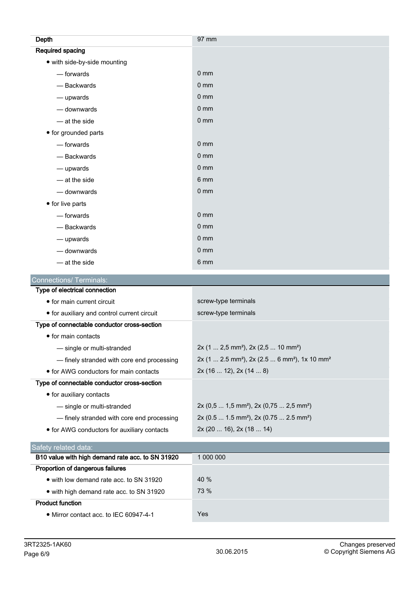| Depth                          | 97 mm           |
|--------------------------------|-----------------|
| Required spacing               |                 |
| • with side-by-side mounting   |                 |
| — forwards                     | 0 <sub>mm</sub> |
| - Backwards                    | 0 <sub>mm</sub> |
| - upwards                      | 0 <sub>mm</sub> |
| - downwards                    | 0 <sub>mm</sub> |
| $-$ at the side                | 0 <sub>mm</sub> |
| • for grounded parts           |                 |
| - forwards                     | 0 <sub>mm</sub> |
| - Backwards                    | 0 <sub>mm</sub> |
| - upwards                      | 0 <sub>mm</sub> |
| $-$ at the side                | 6 mm            |
| - downwards                    | $0 \text{ mm}$  |
| • for live parts               |                 |
| - forwards                     | $0 \text{ mm}$  |
| - Backwards                    | 0 <sub>mm</sub> |
| - upwards                      | $0 \text{ mm}$  |
| - downwards                    | $0 \text{ mm}$  |
| - at the side                  | 6 mm            |
| <b>Connections/ Terminals:</b> |                 |

| Type of electrical connection                    |                                                                                   |
|--------------------------------------------------|-----------------------------------------------------------------------------------|
| • for main current circuit                       | screw-type terminals                                                              |
| • for auxiliary and control current circuit      | screw-type terminals                                                              |
| Type of connectable conductor cross-section      |                                                                                   |
| • for main contacts                              |                                                                                   |
| - single or multi-stranded                       | $2x$ (1  2,5 mm <sup>2</sup> ), $2x$ (2,5  10 mm <sup>2</sup> )                   |
| — finely stranded with core end processing       | 2x (1  2.5 mm <sup>2</sup> ), 2x (2.5  6 mm <sup>2</sup> ), 1x 10 mm <sup>2</sup> |
| • for AWG conductors for main contacts           | 2x(1612), 2x(148)                                                                 |
| Type of connectable conductor cross-section      |                                                                                   |
| • for auxiliary contacts                         |                                                                                   |
| - single or multi-stranded                       | $2x (0.5  1.5 mm2)$ , $2x (0.75  2.5 mm2)$                                        |
| — finely stranded with core end processing       | 2x (0.5  1.5 mm <sup>2</sup> ), 2x (0.75  2.5 mm <sup>2</sup> )                   |
| • for AWG conductors for auxiliary contacts      | 2x (20  16), 2x (18  14)                                                          |
| Safety related data:                             |                                                                                   |
| B10 value with high demand rate acc. to SN 31920 | 1 000 000                                                                         |
| Proportion of dangerous failures                 |                                                                                   |
| • with low demand rate acc. to SN 31920          | 40 %                                                                              |

● with high demand rate acc. to SN 31920 73 % Product function ● Mirror contact acc. to IEC 60947-4-1 Yes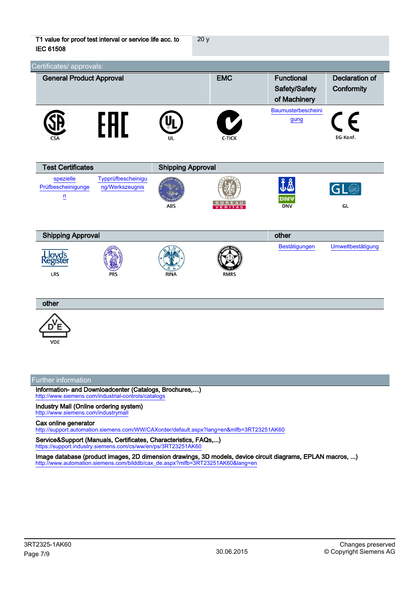| T1 value for proof test interval or service life acc. to<br>20y<br><b>IEC 61508</b> |                                       |                          |                 |                                                    |                                     |
|-------------------------------------------------------------------------------------|---------------------------------------|--------------------------|-----------------|----------------------------------------------------|-------------------------------------|
| Certificates/ approvals:                                                            |                                       |                          |                 |                                                    |                                     |
| <b>General Product Approval</b>                                                     |                                       |                          | <b>EMC</b>      | <b>Functional</b><br>Safety/Safety<br>of Machinery | <b>Declaration of</b><br>Conformity |
|                                                                                     | H <sub>l</sub><br>H                   | UL                       | V<br>C-TICK     | Baumusterbescheini<br>gung                         | $\epsilon$<br>EG-Konf.              |
| <b>Test Certificates</b>                                                            |                                       | <b>Shipping Approval</b> |                 |                                                    |                                     |
| spezielle<br>Prüfbescheinigunge<br>$\overline{u}$                                   | Typprüfbescheinigu<br>ng/Werkszeugnis | ABS                      | REAU<br>VERITAS | dnv<br><b>DNV</b>                                  | Gl<br>GL                            |
|                                                                                     |                                       |                          |                 |                                                    |                                     |
| <b>Shipping Approval</b>                                                            |                                       |                          |                 | other                                              |                                     |
| egister<br><b>LRS</b>                                                               | PRS                                   | <b>RINA</b>              | <b>RMRS</b>     | Bestätigungen                                      | Umweltbestätigung                   |
| other                                                                               |                                       |                          |                 |                                                    |                                     |
|                                                                                     |                                       |                          |                 |                                                    |                                     |

**VDE** 

## Further information

Information- and Downloadcenter (Catalogs, Brochures,…) <http://www.siemens.com/industrial-controls/catalogs>

### Industry Mall (Online ordering system)

<http://www.siemens.com/industrymall>

#### Cax online generator

<http://support.automation.siemens.com/WW/CAXorder/default.aspx?lang=en&mlfb=3RT23251AK60>

#### Service&Support (Manuals, Certificates, Characteristics, FAQs,...) <https://support.industry.siemens.com/cs/ww/en/ps/3RT23251AK60>

Image database (product images, 2D dimension drawings, 3D models, device circuit diagrams, EPLAN macros, ...) [http://www.automation.siemens.com/bilddb/cax\\_de.aspx?mlfb=3RT23251AK60&lang=en](http://www.automation.siemens.com/bilddb/cax_de.aspx?mlfb=3RT23251AK60&lang=en)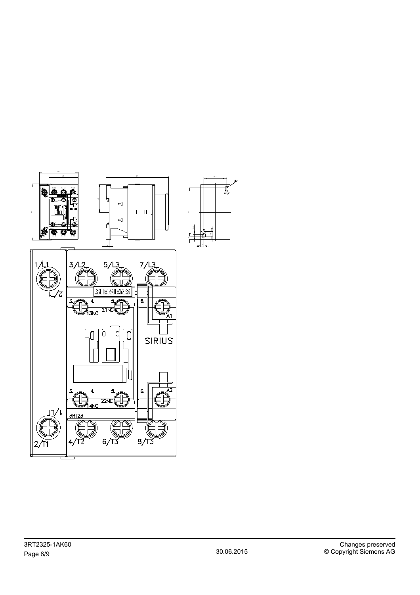

4.8